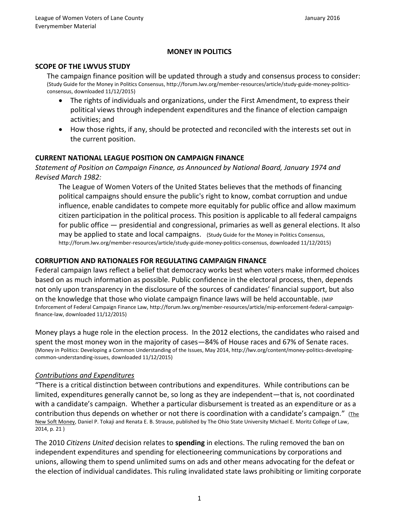### **MONEY IN POLITICS**

#### **SCOPE OF THE LWVUS STUDY**

The campaign finance position will be updated through a study and consensus process to consider: (Study Guide for the Money in Politics Consensus[, http://forum.lwv.org/member-resources/article/study-guide-money-politics](http://forum.lwv.org/member-resources/article/study-guide-money-politics-consensus)[consensus,](http://forum.lwv.org/member-resources/article/study-guide-money-politics-consensus) downloaded 11/12/2015)

- The rights of individuals and organizations, under the First Amendment, to express their political views through independent expenditures and the finance of election campaign activities; and
- How those rights, if any, should be protected and reconciled with the interests set out in the current position.

#### **CURRENT NATIONAL LEAGUE POSITION ON CAMPAIGN FINANCE**

*Statement of Position on Campaign Finance, as Announced by National Board, January 1974 and Revised March 1982:*

The League of Women Voters of the United States believes that the methods of financing political campaigns should ensure the public's right to know, combat corruption and undue influence, enable candidates to compete more equitably for public office and allow maximum citizen participation in the political process. This position is applicable to all federal campaigns for public office — presidential and congressional, primaries as well as general elections. It also may be applied to state and local campaigns.(Study Guide for the Money in Politics Consensus, [http://forum.lwv.org/member-resources/article/study-guide-money-politics-consensus,](http://forum.lwv.org/member-resources/article/study-guide-money-politics-consensus) downloaded 11/12/2015)

#### **CORRUPTION AND RATIONALES FOR REGULATING CAMPAIGN FINANCE**

Federal campaign laws reflect a belief that democracy works best when voters make informed choices based on as much information as possible. Public confidence in the electoral process, then, depends not only upon transparency in the disclosure of the sources of candidates' financial support, but also on the knowledge that those who violate campaign finance laws will be held accountable. (MIP Enforcement of Federal Campaign Finance Law, [http://forum.lwv.org/member-resources/article/mip-enforcement-federal-campaign](http://forum.lwv.org/member-resources/article/mip-enforcement-federal-campaign-finance-law)[finance-law,](http://forum.lwv.org/member-resources/article/mip-enforcement-federal-campaign-finance-law) downloaded 11/12/2015)

Money plays a huge role in the election process. In the 2012 elections, the candidates who raised and spent the most money won in the majority of cases—84% of House races and 67% of Senate races. (Money in Politics: Developing a Common Understanding of the Issues, May 2014, [http://lwv.org/content/money-politics-developing](http://lwv.org/content/money-politics-developing-common-understanding-issues)[common-understanding-issues,](http://lwv.org/content/money-politics-developing-common-understanding-issues) downloaded 11/12/2015)

#### *Contributions and Expenditures*

"There is a critical distinction between contributions and expenditures. While contributions can be limited, expenditures generally cannot be, so long as they are independent—that is, not coordinated with a candidate's campaign. Whether a particular disbursement is treated as an expenditure or as a contribution thus depends on whether or not there is coordination with a candidate's campaign." (The New Soft Money, Daniel P. Tokaji and Renata E. B. Strause, published by The Ohio State University Michael E. Moritz College of Law, 2014, p. 21 )

The 2010 *Citizens United* decision relates to **spending** in elections. The ruling removed the ban on independent expenditures and spending for electioneering communications by corporations and unions, allowing them to spend unlimited sums on ads and other means advocating for the defeat or the election of individual candidates. This ruling invalidated state laws prohibiting or limiting corporate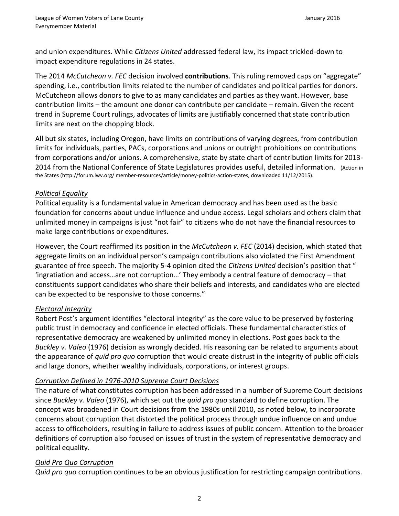and union expenditures. While *Citizens United* addressed federal law, its impact trickled-down to impact expenditure regulations in 24 states.

The 2014 *McCutcheon v. FEC* decision involved **contributions**. This ruling removed caps on "aggregate" spending, i.e., contribution limits related to the number of candidates and political parties for donors. McCutcheon allows donors to give to as many candidates and parties as they want. However, base contribution limits – the amount one donor can contribute per candidate – remain. Given the recent trend in Supreme Court rulings, advocates of limits are justifiably concerned that state contribution limits are next on the chopping block.

All but [six states,](http://www.ncsl.org/research/elections-and-campaigns/campaign-contribution-limits-overview.aspx) including Oregon, have limits on contributions of varying degrees, from contribution limits for individuals, parties, PACs, corporations and unions or outright prohibitions on contributions from corporations and/or unions. A comprehensive, state by state chart of contribution limits for 2013- 2014 from the National Conference of State Legislatures provides useful, detailed information. (Action in the States [\(http://forum.lwv.org/ member-resources/article/money-politics-action-states,](http://forum.lwv.org/%20member-resources/article/money-politics-action-states) downloaded 11/12/2015).

## *Political Equality*

Political equality is a fundamental value in American democracy and has been used as the basic foundation for concerns about undue influence and undue access. Legal scholars and others claim that unlimited money in campaigns is just "not fair" to citizens who do not have the financial resources to make large contributions or expenditures.

However, the Court reaffirmed its position in the *McCutcheon v. FEC* (2014) decision, which stated that aggregate limits on an individual person's campaign contributions also violated the First Amendment guarantee of free speech. The majority 5-4 opinion cited the *Citizens United* decision's position that " 'ingratiation and access…are not corruption…' They embody a central feature of democracy – that constituents support candidates who share their beliefs and interests, and candidates who are elected can be expected to be responsive to those concerns."

## *Electoral Integrity*

Robert Post's argument identifies "electoral integrity" as the core value to be preserved by fostering public trust in democracy and confidence in elected officials. These fundamental characteristics of representative democracy are weakened by unlimited money in elections. Post goes back to the *Buckley v. Valeo* (1976) decision as wrongly decided. His reasoning can be related to arguments about the appearance of *quid pro quo* corruption that would create distrust in the integrity of public officials and large donors, whether wealthy individuals, corporations, or interest groups.

## *Corruption Defined in 1976-2010 Supreme Court Decisions*

The nature of what constitutes corruption has been addressed in a number of Supreme Court decisions since *Buckley v. Valeo* (1976), which set out the *quid pro quo* standard to define corruption. The concept was broadened in Court decisions from the 1980s until 2010, as noted below, to incorporate concerns about corruption that distorted the political process through undue influence on and undue access to officeholders, resulting in failure to address issues of public concern. Attention to the broader definitions of corruption also focused on issues of trust in the system of representative democracy and political equality.

#### *Quid Pro Quo Corruption*

*Quid pro quo* corruption continues to be an obvious justification for restricting campaign contributions.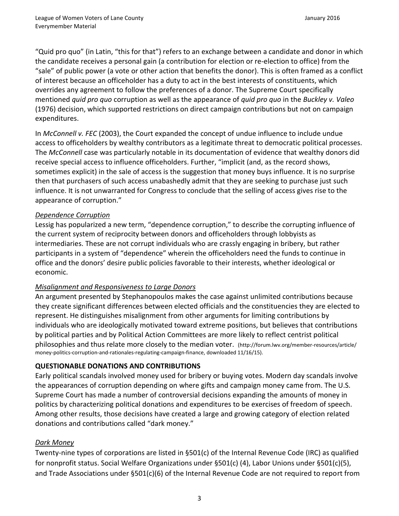"Quid pro quo" (in Latin, "this for that") refers to an exchange between a candidate and donor in which the candidate receives a personal gain (a contribution for election or re-election to office) from the "sale" of public power (a vote or other action that benefits the donor). This is often framed as a conflict of interest because an officeholder has a duty to act in the best interests of constituents, which overrides any agreement to follow the preferences of a donor. The Supreme Court specifically mentioned *quid pro quo* corruption as well as the appearance of *quid pro quo* in the *Buckley v. Valeo* (1976) decision, which supported restrictions on direct campaign contributions but not on campaign expenditures.

In *McConnell v. FEC* (2003), the Court expanded the concept of undue influence to include undue access to officeholders by wealthy contributors as a legitimate threat to democratic political processes. The *McConnell* case was particularly notable in its documentation of evidence that wealthy donors did receive special access to influence officeholders. Further, "implicit (and, as the record shows, sometimes explicit) in the sale of access is the suggestion that money buys influence. It is no surprise then that purchasers of such access unabashedly admit that they are seeking to purchase just such influence. It is not unwarranted for Congress to conclude that the selling of access gives rise to the appearance of corruption."

# *Dependence Corruption*

Lessig has popularized a new term, "dependence corruption," to describe the corrupting influence of the current system of reciprocity between donors and officeholders through lobbyists as intermediaries. These are not corrupt individuals who are crassly engaging in bribery, but rather participants in a system of "dependence" wherein the officeholders need the funds to continue in office and the donors' desire public policies favorable to their interests, whether ideological or economic.

## *Misalignment and Responsiveness to Large Donors*

An argument presented by Stephanopoulos makes the case against unlimited contributions because they create significant differences between elected officials and the constituencies they are elected to represent. He distinguishes misalignment from other arguments for limiting contributions by individuals who are ideologically motivated toward extreme positions, but believes that contributions by political parties and by Political Action Committees are more likely to reflect centrist political philosophies and thus relate more closely to the median voter. [\(http://forum.lwv.org/member-resources/article/](http://forum.lwv.org/member-resources/article/%20money-politics-corruption-and-rationales-regulating-campaign-finance)  [money-politics-corruption-and-rationales-regulating-campaign-finance,](http://forum.lwv.org/member-resources/article/%20money-politics-corruption-and-rationales-regulating-campaign-finance) downloaded 11/16/15).

# **QUESTIONABLE DONATIONS AND CONTRIBUTIONS**

Early political scandals involved money used for bribery or buying votes. Modern day scandals involve the appearances of corruption depending on where gifts and campaign money came from. The U.S. Supreme Court has made a number of controversial decisions expanding the amounts of money in politics by characterizing political donations and expenditures to be exercises of freedom of speech. Among other results, those decisions have created a large and growing category of election related donations and contributions called "dark money."

## *Dark Money*

Twenty-nine types of corporations are listed in §501(c) of the Internal Revenue Code (IRC) as qualified for nonprofit status. Social Welfare Organizations under §501(c) (4), Labor Unions under §501(c)(5), and Trade Associations under §501(c)(6) of the Internal Revenue Code are not required to report from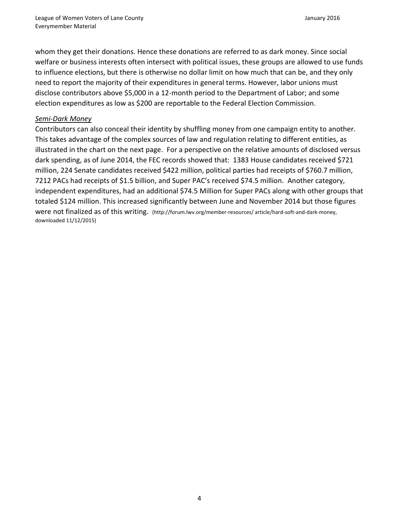whom they get their donations. Hence these donations are referred to as dark money. Since social welfare or business interests often intersect with political issues, these groups are allowed to use funds to influence elections, but there is otherwise no dollar limit on how much that can be, and they only need to report the majority of their expenditures in general terms. However, labor unions must disclose contributors above \$5,000 in a 12-month period to the Department of Labor; and some election expenditures as low as \$200 are reportable to the Federal Election Commission.

#### *Semi-Dark Money*

Contributors can also conceal their identity by shuffling money from one campaign entity to another. This takes advantage of the complex sources of law and regulation relating to different entities, as illustrated in the chart on the next page. For a perspective on the relative amounts of disclosed versus dark spending, as of June 2014, the FEC records showed that: 1383 House candidates received \$721 million, 224 Senate candidates received \$422 million, political parties had receipts of \$760.7 million, 7212 PACs had receipts of \$1.5 billion, and Super PAC's received \$74.5 million. Another category, independent expenditures, had an additional \$74.5 Million for Super PACs along with other groups that totaled \$124 million. This increased significantly between June and November 2014 but those figures were not finalized as of this writing. [\(http://forum.lwv.org/member-resources/ article/hard-soft-and-dark-money,](http://forum.lwv.org/member-resources/%20article/hard-soft-and-dark-money) downloaded 11/12/2015)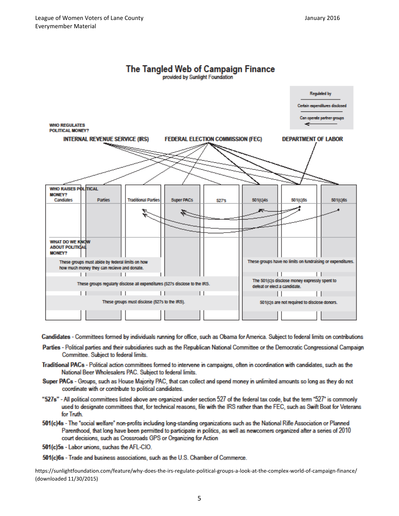





Candidates - Committees formed by individuals running for office, such as Obama for America. Subject to federal limits on contributions

- Parties Political parties and their subsidiaries such as the Republican National Committee or the Democratic Congressional Campaign Committee. Subject to federal limits.
- Traditional PACs Political action committees formed to intervene in campaigns, often in coordination with candidates, such as the National Beer Wholesalers PAC. Subject to federal limits.
- Super PACs Groups, such as House Majority PAC, that can collect and spend money in unlimited amounts so long as they do not coordinate with or contribute to political candidates.
- "527s" All political committees listed above are organized under section 527 of the federal tax code, but the term "527" is commonly used to designate committees that, for technical reasons, file with the IRS rather than the FEC, such as Swift Boat for Veterans for Truth.
- 501(c)4s The "social welfare" non-profits including long-standing organizations such as the National Rifle Association or Planned Parenthood, that long have been permitted to participate in politics, as well as newcomers organized after a series of 2010 court decisions, such as Crossroads GPS or Organizing for Action
- 501(c)5s Labor unions, suchas the AFL-CIO.

501(c)6s - Trade and business associations, such as the U.S. Chamber of Commerce.

<https://sunlightfoundation.com/feature/why-does-the-irs-regulate-political-groups-a-look-at-the-complex-world-of-campaign-finance/> (downloaded 11/30/2015)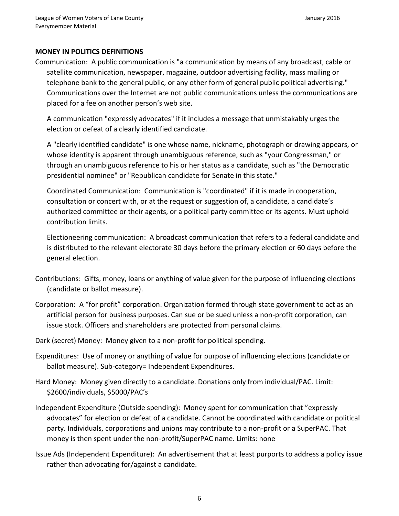### **MONEY IN POLITICS DEFINITIONS**

Communication: A public communication is "a communication by means of any broadcast, cable or satellite communication, newspaper, magazine, outdoor advertising facility, mass mailing or telephone bank to the general public, or any other form of general public political advertising." Communications over the Internet are not public communications unless the communications are placed for a fee on another person's web site.

A communication "expressly advocates" if it includes a message that unmistakably urges the election or defeat of a clearly identified candidate.

A "clearly identified candidate" is one whose name, nickname, photograph or drawing appears, or whose identity is apparent through unambiguous reference, such as "your Congressman," or through an unambiguous reference to his or her status as a candidate, such as "the Democratic presidential nominee" or "Republican candidate for Senate in this state."

Coordinated Communication: Communication is "coordinated" if it is made in cooperation, consultation or concert with, or at the request or suggestion of, a candidate, a candidate's authorized committee or their agents, or a political party committee or its agents. Must uphold contribution limits.

Electioneering communication: A broadcast communication that refers to a federal candidate and is distributed to the relevant electorate 30 days before the primary election or 60 days before the general election.

- Contributions: Gifts, money, loans or anything of value given for the purpose of influencing elections (candidate or ballot measure).
- Corporation: A "for profit" corporation. Organization formed through state government to act as an artificial person for business purposes. Can sue or be sued unless a non-profit corporation, can issue stock. Officers and shareholders are protected from personal claims.
- Dark (secret) Money: Money given to a non-profit for political spending.
- Expenditures: Use of money or anything of value for purpose of influencing elections (candidate or ballot measure). Sub-category= Independent Expenditures.
- Hard Money: Money given directly to a candidate. Donations only from individual/PAC. Limit: \$2600/individuals, \$5000/PAC's
- Independent Expenditure (Outside spending): Money spent for communication that "expressly advocates" for election or defeat of a candidate. Cannot be coordinated with candidate or political party. Individuals, corporations and unions may contribute to a non-profit or a SuperPAC. That money is then spent under the non-profit/SuperPAC name. Limits: none
- Issue Ads (Independent Expenditure): An advertisement that at least purports to address a policy issue rather than advocating for/against a candidate.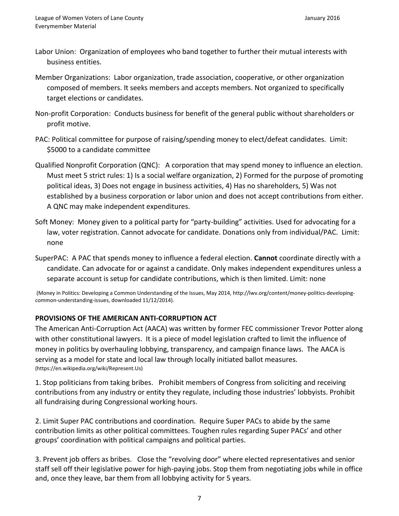- Labor Union: Organization of employees who band together to further their mutual interests with business entities.
- Member Organizations: Labor organization, trade association, cooperative, or other organization composed of members. It seeks members and accepts members. Not organized to specifically target elections or candidates.
- Non-profit Corporation: Conducts business for benefit of the general public without shareholders or profit motive.
- PAC: Political committee for purpose of raising/spending money to elect/defeat candidates. Limit: \$5000 to a candidate committee
- Qualified Nonprofit Corporation (QNC): A corporation that may spend money to influence an election. Must meet 5 strict rules: 1) Is a social welfare organization, 2) Formed for the purpose of promoting political ideas, 3) Does not engage in business activities, 4) Has no shareholders, 5) Was not established by a business corporation or labor union and does not accept contributions from either. A QNC may make independent expenditures.
- Soft Money: Money given to a political party for "party-building" activities. Used for advocating for a law, voter registration. Cannot advocate for candidate. Donations only from individual/PAC. Limit: none
- SuperPAC: A PAC that spends money to influence a federal election. **Cannot** coordinate directly with a candidate. Can advocate for or against a candidate. Only makes independent expenditures unless a separate account is setup for candidate contributions, which is then limited. Limit: none

(Money in Politics: Developing a Common Understanding of the Issues, May 2014, [http://lwv.org/content/money-politics-developing](http://lwv.org/content/money-politics-developing-common-understanding-issues)[common-understanding-issues,](http://lwv.org/content/money-politics-developing-common-understanding-issues) downloaded 11/12/2014).

#### **PROVISIONS OF THE AMERICAN ANTI-CORRUPTION ACT**

The American Anti-Corruption Act (AACA) was written by former FEC commissioner Trevor Potter along with other constitutional lawyers. It is a piece of model legislation crafted to limit the influence of money in politics by overhauling lobbying, transparency, and campaign finance laws. The AACA is serving as a model for state and local law through locally initiated ballot measures. (https://en.wikipedia.org/wiki/Represent.Us)

1. Stop politicians from taking bribes. Prohibit members of Congress from soliciting and receiving contributions from any industry or entity they regulate, including those industries' lobbyists. Prohibit all fundraising during Congressional working hours.

2. Limit Super PAC contributions and coordination. Require Super PACs to abide by the same contribution limits as other political committees. Toughen rules regarding Super PACs' and other groups' coordination with political campaigns and political parties.

3. Prevent job offers as bribes. Close the "revolving door" where elected representatives and senior staff sell off their legislative power for high-paying jobs. Stop them from negotiating jobs while in office and, once they leave, bar them from all lobbying activity for 5 years.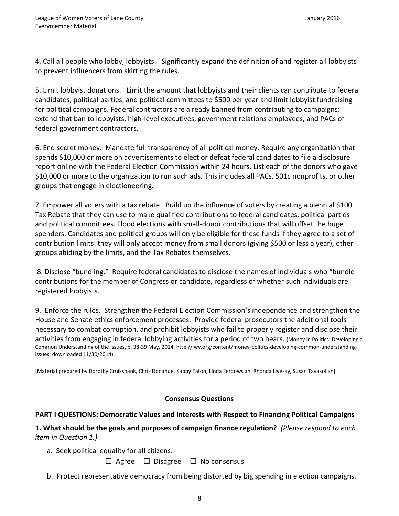4. Call all people who lobby, lobbyists. Significantly expand the definition of and register all lobbyists to prevent influencers from skirting the rules.

5. Limit lobbyist donations. Limit the amount that lobbyists and their clients can contribute to federal candidates, political parties, and political committees to \$500 per year and limit lobbyist fundraising for political campaigns. Federal contractors are already banned from contributing to campaigns: extend that ban to lobbyists, high-level executives, government relations employees, and PACs of federal government contractors.

6. End secret money. Mandate full transparency of all political money. Require any organization that spends \$10,000 or more on advertisements to elect or defeat federal candidates to file a disclosure report online with the Federal Election Commission within 24 hours. List each of the donors who gave \$10,000 or more to the organization to run such ads. This includes all PACs, 501c nonprofits, or other groups that engage in electioneering.

7. Empower all voters with a tax rebate. Build up the influence of voters by creating a biennial \$100 Tax Rebate that they can use to make qualified contributions to federal candidates, political parties and political committees. Flood elections with small-donor contributions that will offset the huge spenders. Candidates and political groups will only be eligible for these funds if they agree to a set of contribution limits: they will only accept money from small donors (giving \$500 or less a year), other groups abiding by the limits, and the Tax Rebates themselves.

8. Disclose "bundling." Require federal candidates to disclose the names of individuals who "bundle contributions for the member of Congress or candidate, regardless of whether such individuals are registered lobbyists.

9. Enforce the rules. Strengthen the Federal Election Commission's independence and strengthen the House and Senate ethics enforcement processes. Provide federal prosecutors the additional tools necessary to combat corruption, and prohibit lobbyists who fail to properly register and disclose their activities from engaging in federal lobbying activities for a period of two hears. (Money in Politics: Developing a Common Understanding of the Issues, p. 38-39 May, 2014, [http://lwv.org/content/money-politics-developing-common-understanding](http://lwv.org/content/money-politics-developing-common-understanding-issues)[issues,](http://lwv.org/content/money-politics-developing-common-understanding-issues) downloaded 11/30/2014).

[Material prepared by Dorothy Cruikshank, Chris Donahue, Kappy Eaton, Linda Ferdowsian, Rhonda Livesay, Susan Tavakolian]

#### **Consensus Questions**

## **PART I QUESTIONS: Democratic Values and Interests with Respect to Financing Political Campaigns**

**1. What should be the goals and purposes of campaign finance regulation?** *(Please respond to each item in Question 1.)*

a. Seek political equality for all citizens.

☐ Agree ☐ Disagree ☐ No consensus

b. Protect representative democracy from being distorted by big spending in election campaigns.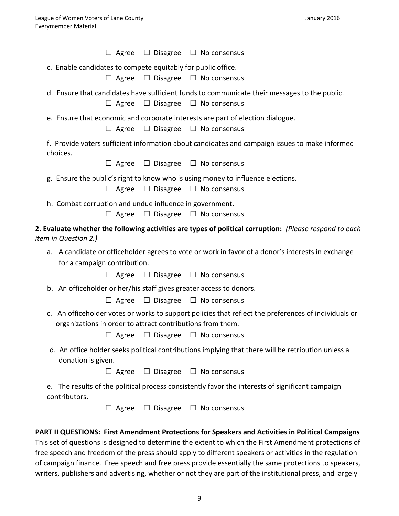|                             |                                                                                                |                              | $\Box$ Agree $\Box$ Disagree $\Box$ No consensus                                                                        |  |  |
|-----------------------------|------------------------------------------------------------------------------------------------|------------------------------|-------------------------------------------------------------------------------------------------------------------------|--|--|
|                             | c. Enable candidates to compete equitably for public office.                                   |                              |                                                                                                                         |  |  |
|                             |                                                                                                |                              | $\Box$ Agree $\Box$ Disagree $\Box$ No consensus                                                                        |  |  |
|                             | $\Box$ Agree                                                                                   | $\Box$ Disagree              | d. Ensure that candidates have sufficient funds to communicate their messages to the public.<br>$\Box$ No consensus     |  |  |
|                             |                                                                                                |                              |                                                                                                                         |  |  |
|                             | $\Box$ Agree                                                                                   |                              | e. Ensure that economic and corporate interests are part of election dialogue.<br>$\Box$ Disagree $\Box$ No consensus   |  |  |
| choices.                    | f. Provide voters sufficient information about candidates and campaign issues to make informed |                              |                                                                                                                         |  |  |
|                             |                                                                                                |                              | $\Box$ Agree $\Box$ Disagree $\Box$ No consensus                                                                        |  |  |
|                             | $\Box$ Agree                                                                                   | $\Box$ Disagree              | g. Ensure the public's right to know who is using money to influence elections.<br>$\Box$ No consensus                  |  |  |
|                             | h. Combat corruption and undue influence in government.                                        |                              | $\Box$ Agree $\Box$ Disagree $\Box$ No consensus                                                                        |  |  |
|                             |                                                                                                |                              |                                                                                                                         |  |  |
| <i>item in Question 2.)</i> |                                                                                                |                              | 2. Evaluate whether the following activities are types of political corruption: (Please respond to each                 |  |  |
|                             |                                                                                                |                              | a. A candidate or officeholder agrees to vote or work in favor of a donor's interests in exchange                       |  |  |
|                             | for a campaign contribution.<br>$\Box$ Agree                                                   |                              | $\Box$ Disagree $\Box$ No consensus                                                                                     |  |  |
|                             |                                                                                                |                              |                                                                                                                         |  |  |
|                             |                                                                                                |                              | b. An officeholder or her/his staff gives greater access to donors.<br>$\Box$ Agree $\Box$ Disagree $\Box$ No consensus |  |  |
|                             | organizations in order to attract contributions from them.                                     |                              | c. An officeholder votes or works to support policies that reflect the preferences of individuals or                    |  |  |
|                             |                                                                                                | $\Box$ Agree $\Box$ Disagree | $\Box$ No consensus                                                                                                     |  |  |
|                             | donation is given.                                                                             |                              | d. An office holder seeks political contributions implying that there will be retribution unless a                      |  |  |
|                             | $\Box$ Agree                                                                                   | $\Box$ Disagree              | $\Box$ No consensus                                                                                                     |  |  |
| e.<br>contributors.         |                                                                                                |                              | The results of the political process consistently favor the interests of significant campaign                           |  |  |

☐ Agree ☐ Disagree ☐ No consensus

## **PART II QUESTIONS: First Amendment Protections for Speakers and Activities in Political Campaigns**

This set of questions is designed to determine the extent to which the First Amendment protections of free speech and freedom of the press should apply to different speakers or activities in the regulation of campaign finance. Free speech and free press provide essentially the same protections to speakers, writers, publishers and advertising, whether or not they are part of the institutional press, and largely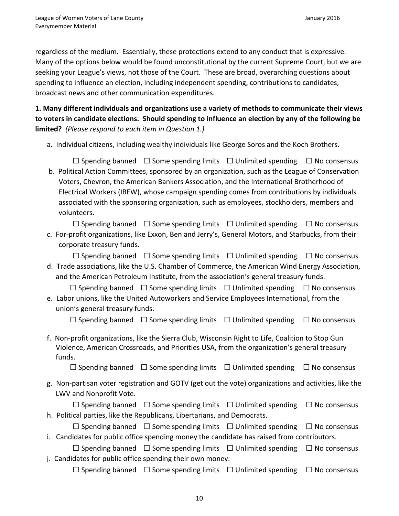regardless of the medium. Essentially, these protections extend to any conduct that is expressive. Many of the options below would be found unconstitutional by the current Supreme Court, but we are seeking your League's views, not those of the Court. These are broad, overarching questions about spending to influence an election, including independent spending, contributions to candidates, broadcast news and other communication expenditures.

**1. Many different individuals and organizations use a variety of methods to communicate their views to voters in candidate elections. Should spending to influence an election by any of the following be limited?** *(Please respond to each item in Question 1.)*

a. Individual citizens, including wealthy individuals like George Soros and the Koch Brothers.

 ☐ Spending banned ☐ Some spending limits ☐ Unlimited spending ☐ No consensus b. Political Action Committees, sponsored by an organization, such as the League of Conservation Voters, Chevron, the American Bankers Association, and the International Brotherhood of Electrical Workers (IBEW), whose campaign spending comes from contributions by individuals associated with the sponsoring organization, such as employees, stockholders, members and volunteers.

 ☐ Spending banned ☐ Some spending limits ☐ Unlimited spending ☐ No consensus c. For-profit organizations, like Exxon, Ben and Jerry's, General Motors, and Starbucks, from their

corporate treasury funds.

 $\Box$  Spending banned  $\Box$  Some spending limits  $\Box$  Unlimited spending  $\Box$  No consensus d. Trade associations, like the U.S. Chamber of Commerce, the American Wind Energy Association, and the American Petroleum Institute, from the association's general treasury funds.

 ☐ Spending banned ☐ Some spending limits ☐ Unlimited spending ☐ No consensus e. Labor unions, like the United Autoworkers and Service Employees International, from the union's general treasury funds.

☐ Spending banned ☐ Some spending limits ☐ Unlimited spending ☐ No consensus

f. Non-profit organizations, like the Sierra Club, Wisconsin Right to Life, Coalition to Stop Gun Violence, American Crossroads, and Priorities USA, from the organization's general treasury funds.

☐ Spending banned ☐ Some spending limits ☐ Unlimited spending ☐ No consensus

g. Non-partisan voter registration and GOTV (get out the vote) organizations and activities, like the LWV and Nonprofit Vote.

|                                                                          | $\Box$ Spending banned $\Box$ Some spending limits $\Box$ Unlimited spending $\Box$ No consensus |  |
|--------------------------------------------------------------------------|--------------------------------------------------------------------------------------------------|--|
| h. Political parties, like the Republicans, Libertarians, and Democrats. |                                                                                                  |  |

|                                                                                            |  | $\Box$ Spending banned $\Box$ Some spending limits $\Box$ Unlimited spending $\Box$ No consensus |  |  |  |
|--------------------------------------------------------------------------------------------|--|--------------------------------------------------------------------------------------------------|--|--|--|
| i. Candidates for public office spending money the candidate has raised from contributors. |  |                                                                                                  |  |  |  |

 ☐ Spending banned ☐ Some spending limits ☐ Unlimited spending ☐ No consensus j. Candidates for public office spending their own money.

☐ Spending banned ☐ Some spending limits ☐ Unlimited spending ☐ No consensus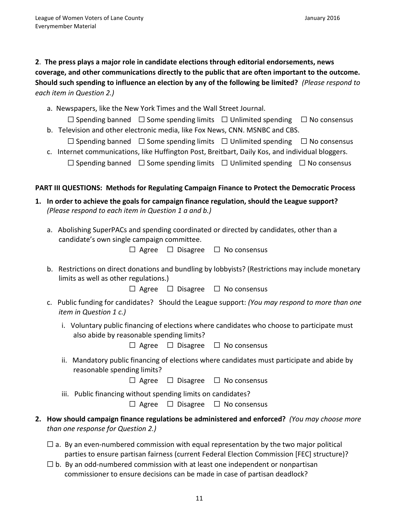**2**. **The press plays a major role in candidate elections through editorial endorsements, news coverage, and other communications directly to the public that are often important to the outcome. Should such spending to influence an election by any of the following be limited?** *(Please respond to each item in Question 2.)*

a. Newspapers, like the New York Times and the Wall Street Journal.

 ☐ Spending banned ☐ Some spending limits ☐ Unlimited spending ☐ No consensus b. Television and other electronic media, like Fox News, CNN. MSNBC and CBS.

 ☐ Spending banned ☐ Some spending limits ☐ Unlimited spending ☐ No consensus c. Internet communications, like Huffington Post, Breitbart, Daily Kos, and individual bloggers.

☐ Spending banned ☐ Some spending limits ☐ Unlimited spending ☐ No consensus

### **PART III QUESTIONS: Methods for Regulating Campaign Finance to Protect the Democratic Process**

- **1. In order to achieve the goals for campaign finance regulation, should the League support?**  *(Please respond to each item in Question 1 a and b.)*
	- a. Abolishing SuperPACs and spending coordinated or directed by candidates, other than a candidate's own single campaign committee.

☐ Agree ☐ Disagree ☐ No consensus

b. Restrictions on direct donations and bundling by lobbyists? (Restrictions may include monetary limits as well as other regulations.)

☐ Agree ☐ Disagree ☐ No consensus

- c. Public funding for candidates? Should the League support: *(You may respond to more than one item in Question 1 c.)*
	- i. Voluntary public financing of elections where candidates who choose to participate must also abide by reasonable spending limits?

☐ Agree ☐ Disagree ☐ No consensus

- ii. Mandatory public financing of elections where candidates must participate and abide by reasonable spending limits?
	- ☐ Agree ☐ Disagree ☐ No consensus

iii. Public financing without spending limits on candidates?

☐ Agree ☐ Disagree ☐ No consensus

- **2. How should campaign finance regulations be administered and enforced?** *(You may choose more than one response for Question 2.)*
	- $\square$  a. By an even-numbered commission with equal representation by the two major political parties to ensure partisan fairness (current Federal Election Commission [FEC] structure)?
	- $\Box$  b. By an odd-numbered commission with at least one independent or nonpartisan commissioner to ensure decisions can be made in case of partisan deadlock?